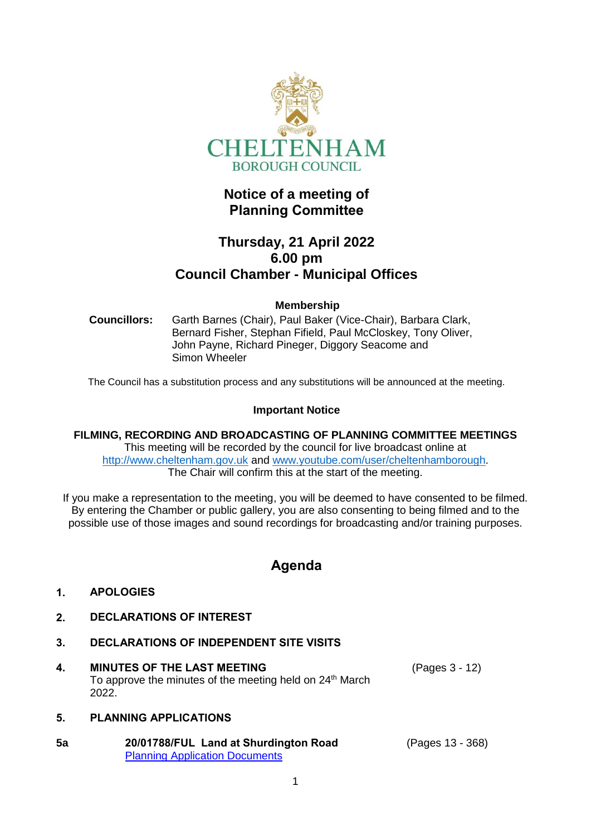

# **Notice of a meeting of Planning Committee**

# **Thursday, 21 April 2022 6.00 pm Council Chamber - Municipal Offices**

## **Membership**

**Councillors:** Garth Barnes (Chair), Paul Baker (Vice-Chair), Barbara Clark, Bernard Fisher, Stephan Fifield, Paul McCloskey, Tony Oliver, John Payne, Richard Pineger, Diggory Seacome and Simon Wheeler

The Council has a substitution process and any substitutions will be announced at the meeting.

#### **Important Notice**

**FILMING, RECORDING AND BROADCASTING OF PLANNING COMMITTEE MEETINGS** This meeting will be recorded by the council for live broadcast online at [http://www.cheltenham.gov.uk](http://www.cheltenham.gov.uk/) and [www.youtube.com/user/cheltenhamborough.](http://www.youtube.com/user/cheltenhamborough) The Chair will confirm this at the start of the meeting.

If you make a representation to the meeting, you will be deemed to have consented to be filmed. By entering the Chamber or public gallery, you are also consenting to being filmed and to the possible use of those images and sound recordings for broadcasting and/or training purposes.

# **Agenda**

## **1. APOLOGIES**

- **2. DECLARATIONS OF INTEREST**
- **3. DECLARATIONS OF INDEPENDENT SITE VISITS**
- **4. MINUTES OF THE LAST MEETING** To approve the minutes of the meeting held on  $24<sup>th</sup>$  March 2022. (Pages 3 - 12)

## **5. PLANNING APPLICATIONS**

| 5a | 20/01788/FUL Land at Shurdington Road | (Pages 13 - 368) |
|----|---------------------------------------|------------------|
|    | <b>Planning Application Documents</b> |                  |